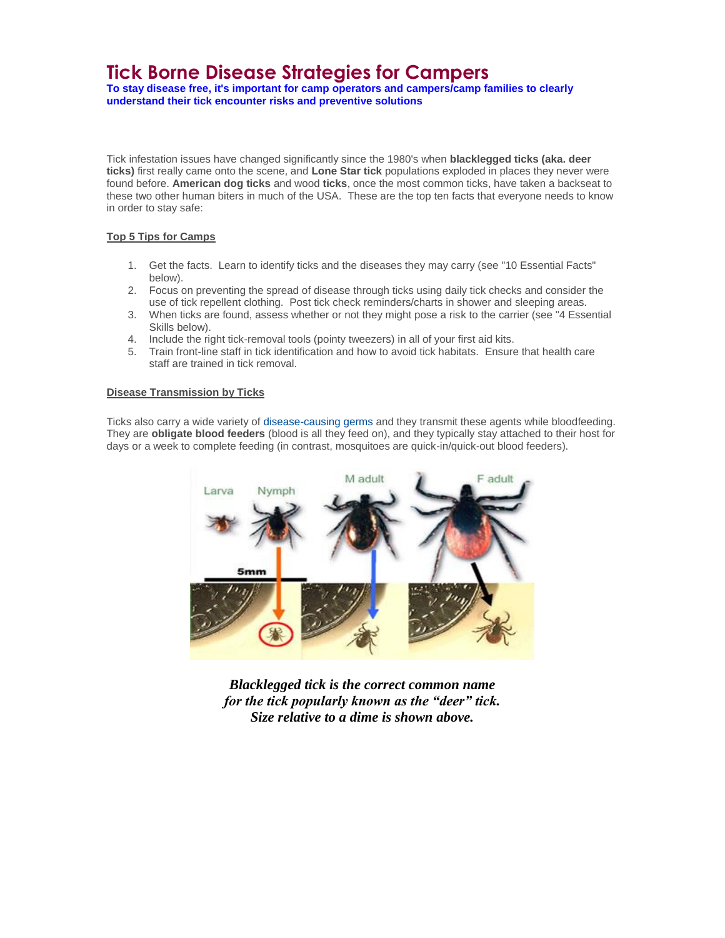# **Tick Borne Disease Strategies for Campers**

**To stay disease free, it's important for camp operators and campers/camp families to clearly understand their tick encounter risks and preventive solutions**

Tick infestation issues have changed significantly since the 1980's when **blacklegged ticks (aka. deer ticks)** first really came onto the scene, and **Lone Star tick** populations exploded in places they never were found before. **American dog ticks** and wood **ticks**, once the most common ticks, have taken a backseat to these two other human biters in much of the USA. These are the top ten facts that everyone needs to know in order to stay safe:

#### **Top 5 Tips for Camps**

- 1. Get the facts. Learn to identify ticks and the diseases they may carry (see "10 Essential Facts" below).
- 2. Focus on preventing the spread of disease through ticks using daily tick checks and consider the use of tick repellent clothing. Post tick check reminders/charts in shower and sleeping areas.
- 3. When ticks are found, assess whether or not they might pose a risk to the carrier (see "4 Essential Skills below).
- 4. Include the right tick-removal tools (pointy tweezers) in all of your first aid kits.
- 5. Train front-line staff in tick identification and how to avoid tick habitats. Ensure that health care staff are trained in tick removal.

#### **Disease Transmission by Ticks**

Ticks also carry a wide variety of [disease-causing germs a](http://www.cdc.gov/Features/StopTicks/)nd they transmit these agents while bloodfeeding. They are **obligate blood feeders** (blood is all they feed on), and they typically stay attached to their host for days or a week to complete feeding (in contrast, mosquitoes are quick-in/quick-out blood feeders).



*Blacklegged tick is the correct common name for the tick popularly known as the "deer" tick. Size relative to a dime is shown above.*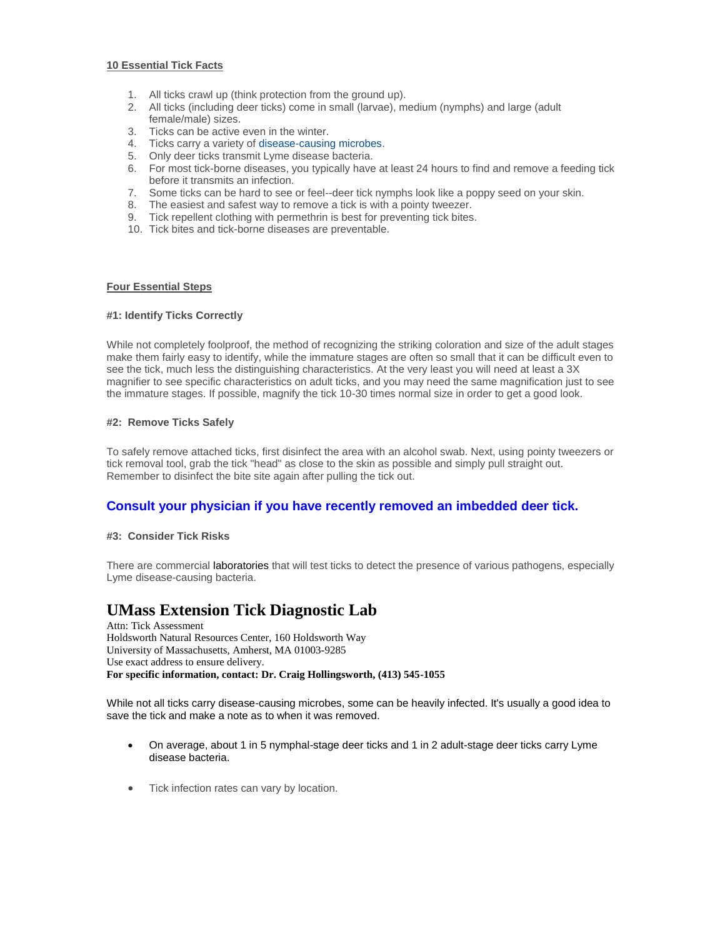#### **10 Essential Tick Facts**

- 1. All ticks crawl up (think protection from the ground up).
- 2. All ticks (including deer ticks) come in small (larvae), medium (nymphs) and large (adult female/male) sizes.
- 3. Ticks can be active even in the winter.
- 4. Ticks carry a variety o[f disease-causing microbes.](http://www.cdc.gov/Features/StopTicks/)
- 5. Only deer ticks transmit Lyme disease bacteria.
- 6. For most tick-borne diseases, you typically have at least 24 hours to find and remove a feeding tick before it transmits an infection.
- 7. Some ticks can be hard to see or feel--deer tick nymphs look like a poppy seed on your skin.
- 8. The easiest and safest way to remove a tick is with a pointy tweezer.
- 9. Tick repellent clothing with permethrin is best for preventing tick bites.
- 10. Tick bites and tick-borne diseases are preventable.

#### **Four Essential Steps**

#### **#1: Identify Ticks Correctly**

While not completely foolproof, the method of recognizing the striking coloration and size of the adult stages make them fairly easy to identify, while the immature stages are often so small that it can be difficult even to see the tick, much less the distinguishing characteristics. At the very least you will need at least a 3X magnifier to see specific characteristics on adult ticks, and you may need the same magnification just to see the immature stages. If possible, magnify the tick 10-30 times normal size in order to get a good look.

#### **#2: Remove Ticks Safely**

To safely remove attached ticks, first disinfect the area with an alcohol swab. Next, using pointy tweezers or tick removal tool, grab the tick "head" as close to the skin as possible and simply pull straight out. Remember to disinfect the bite site again after pulling the tick out.

#### **Consult your physician if you have recently removed an imbedded deer tick.**

#### **#3: Consider Tick Risks**

There ar[e commercial](http://www.tickencounter.org/education/tick_testing) laboratories that will test ticks to detect the presence of various pathogens, especially Lyme disease-causing bacteria.

### **UMass Extension Tick Diagnostic Lab**

Attn: Tick Assessment Holdsworth Natural Resources Center, 160 Holdsworth Way University of Massachusetts, Amherst, MA 01003-9285 Use exact address to ensure delivery. **For specific information, contact: Dr. Craig Hollingsworth, (413) 545-1055**

While not all ticks carry disease-causing microbes, some can be heavily infected. It's usually a good idea to save the tick and make a note as to when it was removed.

- On average, about 1 in 5 nymphal-stage deer ticks and 1 in 2 adult-stage deer ticks carry Lyme disease bacteria.
- Tick infection rates can vary by location.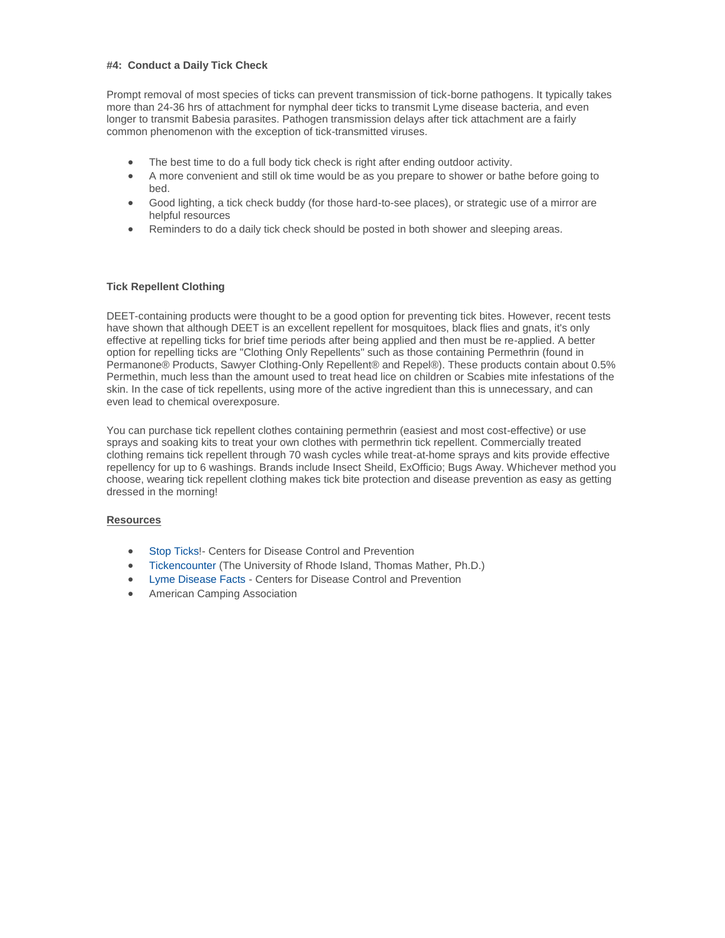#### **#4: Conduct a Daily Tick Check**

Prompt removal of most species of ticks can prevent transmission of tick-borne pathogens. It typically takes more than 24-36 hrs of attachment for nymphal deer ticks to transmit Lyme disease bacteria, and even longer to transmit Babesia parasites. Pathogen transmission delays after tick attachment are a fairly common phenomenon with the exception of tick-transmitted viruses.

- The best time to do a full body tick check is right after ending outdoor activity.
- A more convenient and still ok time would be as you prepare to shower or bathe before going to bed.
- Good lighting, a tick check buddy (for those hard-to-see places), or strategic use of a mirror are helpful resources
- Reminders to do a daily tick check should be posted in both shower and sleeping areas.

#### **Tick Repellent Clothing**

DEET-containing products were thought to be a good option for preventing tick bites. However, recent tests have shown that although DEET is an excellent repellent for mosquitoes, black flies and gnats, it's only effective at repelling ticks for brief time periods after being applied and then must be re-applied. A better option for repelling ticks are "Clothing Only Repellents" such as those containing Permethrin (found in Permanone® Products, Sawyer Clothing-Only Repellent® and Repel®). These products contain about 0.5% Permethin, much less than the amount used to treat head lice on children or Scabies mite infestations of the skin. In the case of tick repellents, using more of the active ingredient than this is unnecessary, and can even lead to chemical overexposure.

You can purchase tick repellent clothes containing permethrin (easiest and most cost-effective) or use sprays and soaking kits to treat your own clothes with permethrin tick repellent. Commercially treated clothing remains tick repellent through 70 wash cycles while treat-at-home sprays and kits provide effective repellency for up to 6 washings. Brands include Insect Sheild, ExOfficio; Bugs Away. Whichever method you choose, wearing tick repellent clothing makes tick bite protection and disease prevention as easy as getting dressed in the morning!

#### **Resources**

- [Stop Ticks!](http://www.cdc.gov/Features/StopTicks/) Centers for Disease Control and Prevention
- [Tickencounter](http://tickencounter.org/) (The University of Rhode Island, Thomas Mather, Ph.D.)
- [Lyme Disease Facts -](http://www.cdc.gov/Lyme/Stats/?source=govdelivery) Centers for Disease Control and Prevention
- American Camping Association